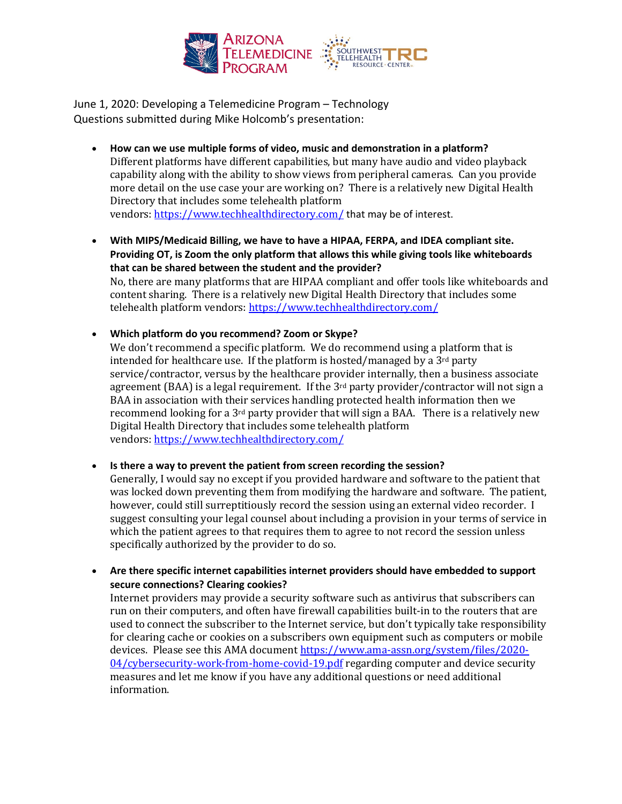

June 1, 2020: Developing a Telemedicine Program – Technology Questions submitted during Mike Holcomb's presentation:

- **How can we use multiple forms of video, music and demonstration in a platform?** Different platforms have different capabilities, but many have audio and video playback capability along with the ability to show views from peripheral cameras. Can you provide more detail on the use case your are working on? There is a relatively new Digital Health Directory that includes some telehealth platform vendors: https://www.techhealthdirectory.com/ that may be of interest.
- **With MIPS/Medicaid Billing, we have to have a HIPAA, FERPA, and IDEA compliant site. Providing OT, is Zoom the only platform that allows this while giving tools like whiteboards that can be shared between the student and the provider?** No, there are many platforms that are HIPAA compliant and offer tools like whiteboards and content sharing. There is a relatively new Digital Health Directory that includes some telehealth platform vendors: https://www.techhealthdirectory.com/
- **Which platform do you recommend? Zoom or Skype?**

We don't recommend a specific platform. We do recommend using a platform that is intended for healthcare use. If the platform is hosted/managed by a 3<sup>rd</sup> party service/contractor, versus by the healthcare provider internally, then a business associate agreement (BAA) is a legal requirement. If the  $3<sup>rd</sup>$  party provider/contractor will not sign a BAA in association with their services handling protected health information then we recommend looking for a 3rd party provider that will sign a BAA. There is a relatively new Digital Health Directory that includes some telehealth platform vendors: https://www.techhealthdirectory.com/

• **Is there a way to prevent the patient from screen recording the session?**

Generally, I would say no except if you provided hardware and software to the patient that was locked down preventing them from modifying the hardware and software. The patient, however, could still surreptitiously record the session using an external video recorder. I suggest consulting your legal counsel about including a provision in your terms of service in which the patient agrees to that requires them to agree to not record the session unless specifically authorized by the provider to do so.

• **Are there specific internet capabilities internet providers should have embedded to support secure connections? Clearing cookies?** Internet providers may provide a security software such as antivirus that subscribers can run on their computers, and often have firewall capabilities built-in to the routers that are used to connect the subscriber to the Internet service, but don't typically take responsibility for clearing cache or cookies on a subscribers own equipment such as computers or mobile devices. Please see this AMA document https://www.ama-assn.org/system/files/2020- 04/cybersecurity-work-from-home-covid-19.pdf regarding computer and device security measures and let me know if you have any additional questions or need additional information.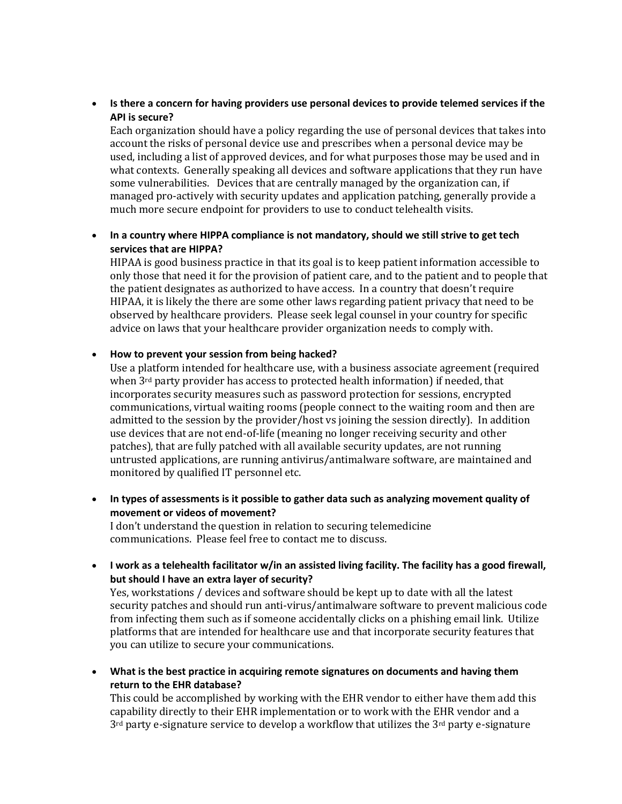• **Is there a concern for having providers use personal devices to provide telemed services if the API is secure?**

Each organization should have a policy regarding the use of personal devices that takes into account the risks of personal device use and prescribes when a personal device may be used, including a list of approved devices, and for what purposes those may be used and in what contexts. Generally speaking all devices and software applications that they run have some vulnerabilities. Devices that are centrally managed by the organization can, if managed pro-actively with security updates and application patching, generally provide a much more secure endpoint for providers to use to conduct telehealth visits.

• **In a country where HIPPA compliance is not mandatory, should we still strive to get tech services that are HIPPA?**

HIPAA is good business practice in that its goal is to keep patient information accessible to only those that need it for the provision of patient care, and to the patient and to people that the patient designates as authorized to have access. In a country that doesn't require HIPAA, it is likely the there are some other laws regarding patient privacy that need to be observed by healthcare providers. Please seek legal counsel in your country for specific advice on laws that your healthcare provider organization needs to comply with.

## • **How to prevent your session from being hacked?**

Use a platform intended for healthcare use, with a business associate agreement (required when  $3<sup>rd</sup>$  party provider has access to protected health information) if needed, that incorporates security measures such as password protection for sessions, encrypted communications, virtual waiting rooms (people connect to the waiting room and then are admitted to the session by the provider/host vs joining the session directly). In addition use devices that are not end-of-life (meaning no longer receiving security and other patches), that are fully patched with all available security updates, are not running untrusted applications, are running antivirus/antimalware software, are maintained and monitored by qualified IT personnel etc.

• **In types of assessments is it possible to gather data such as analyzing movement quality of movement or videos of movement?**

I don't understand the question in relation to securing telemedicine communications. Please feel free to contact me to discuss. 

• **I work as a telehealth facilitator w/in an assisted living facility. The facility has a good firewall, but should I have an extra layer of security?**

Yes, workstations / devices and software should be kept up to date with all the latest security patches and should run anti-virus/antimalware software to prevent malicious code from infecting them such as if someone accidentally clicks on a phishing email link. Utilize platforms that are intended for healthcare use and that incorporate security features that you can utilize to secure your communications.

• **What is the best practice in acquiring remote signatures on documents and having them return to the EHR database?**

This could be accomplished by working with the EHR vendor to either have them add this capability directly to their EHR implementation or to work with the EHR vendor and a 3rd party e-signature service to develop a workflow that utilizes the 3rd party e-signature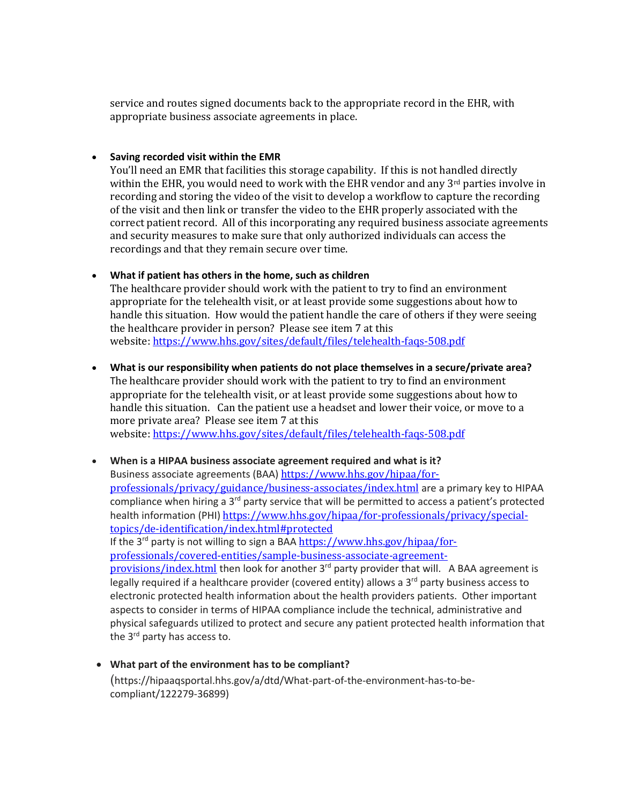service and routes signed documents back to the appropriate record in the EHR, with appropriate business associate agreements in place.

## • **Saving recorded visit within the EMR**

You'll need an EMR that facilities this storage capability. If this is not handled directly within the EHR, you would need to work with the EHR vendor and any 3<sup>rd</sup> parties involve in recording and storing the video of the visit to develop a workflow to capture the recording of the visit and then link or transfer the video to the EHR properly associated with the correct patient record. All of this incorporating any required business associate agreements and security measures to make sure that only authorized individuals can access the recordings and that they remain secure over time.

## • **What if patient has others in the home, such as children**

The healthcare provider should work with the patient to try to find an environment appropriate for the telehealth visit, or at least provide some suggestions about how to handle this situation. How would the patient handle the care of others if they were seeing the healthcare provider in person? Please see item 7 at this website: https://www.hhs.gov/sites/default/files/telehealth-faqs-508.pdf

• **What is our responsibility when patients do not place themselves in a secure/private area?**

The healthcare provider should work with the patient to try to find an environment appropriate for the telehealth visit, or at least provide some suggestions about how to handle this situation. Can the patient use a headset and lower their voice, or move to a more private area? Please see item 7 at this

website: https://www.hhs.gov/sites/default/files/telehealth-faqs-508.pdf

• **When is a HIPAA business associate agreement required and what is it?** Business associate agreements (BAA) https://www.hhs.gov/hipaa/forprofessionals/privacy/guidance/business-associates/index.html are a primary key to HIPAA compliance when hiring a 3<sup>rd</sup> party service that will be permitted to access a patient's protected health information (PHI) https://www.hhs.gov/hipaa/for-professionals/privacy/specialtopics/de-identification/index.html#protected If the  $3^{rd}$  party is not willing to sign a BAA  $\frac{https://www.hhs.gov/hipaa/for-1}{https://www.hhs.gov/hipaa/for-1}$ professionals/covered-entities/sample-business-associate-agreementprovisions/index.html then look for another 3<sup>rd</sup> party provider that will. A BAA agreement is legally required if a healthcare provider (covered entity) allows a  $3<sup>rd</sup>$  party business access to electronic protected health information about the health providers patients. Other important aspects to consider in terms of HIPAA compliance include the technical, administrative and physical safeguards utilized to protect and secure any patient protected health information that

the 3<sup>rd</sup> party has access to.

• **What part of the environment has to be compliant?** (https://hipaaqsportal.hhs.gov/a/dtd/What-part-of-the-environment-has-to-becompliant/122279-36899)